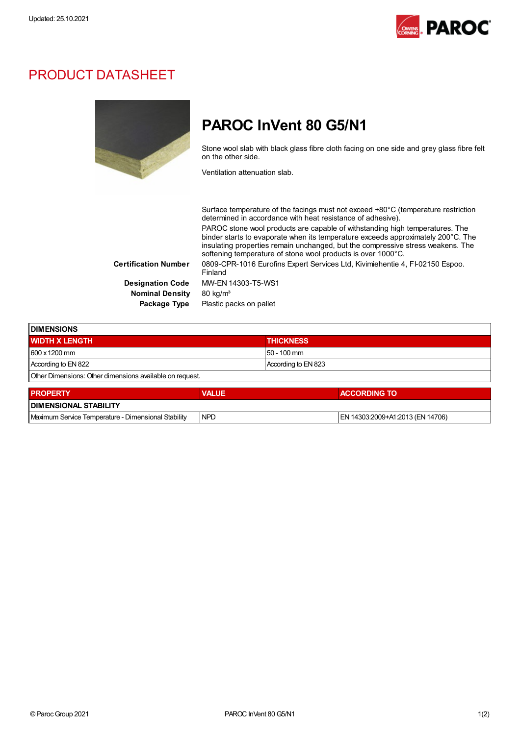

### PRODUCT DATASHEET



## PAROC InVent 80 G5/N1

Stone wool slab with black glass fibre cloth facing on one side and grey glass fibre felt on the other side.

Ventilation attenuation slab.

|                             | Surface temperature of the facings must not exceed +80°C (temperature restriction<br>determined in accordance with heat resistance of adhesive).                                                                                                                                                                    |
|-----------------------------|---------------------------------------------------------------------------------------------------------------------------------------------------------------------------------------------------------------------------------------------------------------------------------------------------------------------|
|                             | PAROC stone wool products are capable of withstanding high temperatures. The<br>binder starts to evaporate when its temperature exceeds approximately 200°C. The<br>insulating properties remain unchanged, but the compressive stress weakens. The<br>softening temperature of stone wool products is over 1000°C. |
| <b>Certification Number</b> | 0809-CPR-1016 Eurofins Expert Services Ltd, Kivimiehentie 4, FI-02150 Espoo.<br>Finland                                                                                                                                                                                                                             |
| <b>Designation Code</b>     | MW-EN 14303-T5-WS1                                                                                                                                                                                                                                                                                                  |
| <b>Nominal Density</b>      | $80 \text{ kg/m}^3$                                                                                                                                                                                                                                                                                                 |
| Package Type                | Plastic packs on pallet                                                                                                                                                                                                                                                                                             |

| <b>IDIMENSIONS</b>                                       |              |                     |              |  |
|----------------------------------------------------------|--------------|---------------------|--------------|--|
| <b>WIDTH X LENGTH</b>                                    |              | <b>THICKNESS</b>    |              |  |
| 600 x 1200 mm                                            |              | $50 - 100$ mm       |              |  |
| According to EN 822                                      |              | According to EN 823 |              |  |
| Other Dimensions: Other dimensions available on request. |              |                     |              |  |
| <b>DDODEDTV</b>                                          | <b>MALLE</b> |                     | ACCODDING TO |  |

| <b>PROPERTY</b>                                     | <b>VALUE</b> | <b>ACCORDING TO</b>              |  |  |
|-----------------------------------------------------|--------------|----------------------------------|--|--|
| <b>DIMENSIONAL STABILITY</b>                        |              |                                  |  |  |
| Maximum Service Temperature - Dimensional Stability | <b>INPD</b>  | EN 14303:2009+A1:2013 (EN 14706) |  |  |